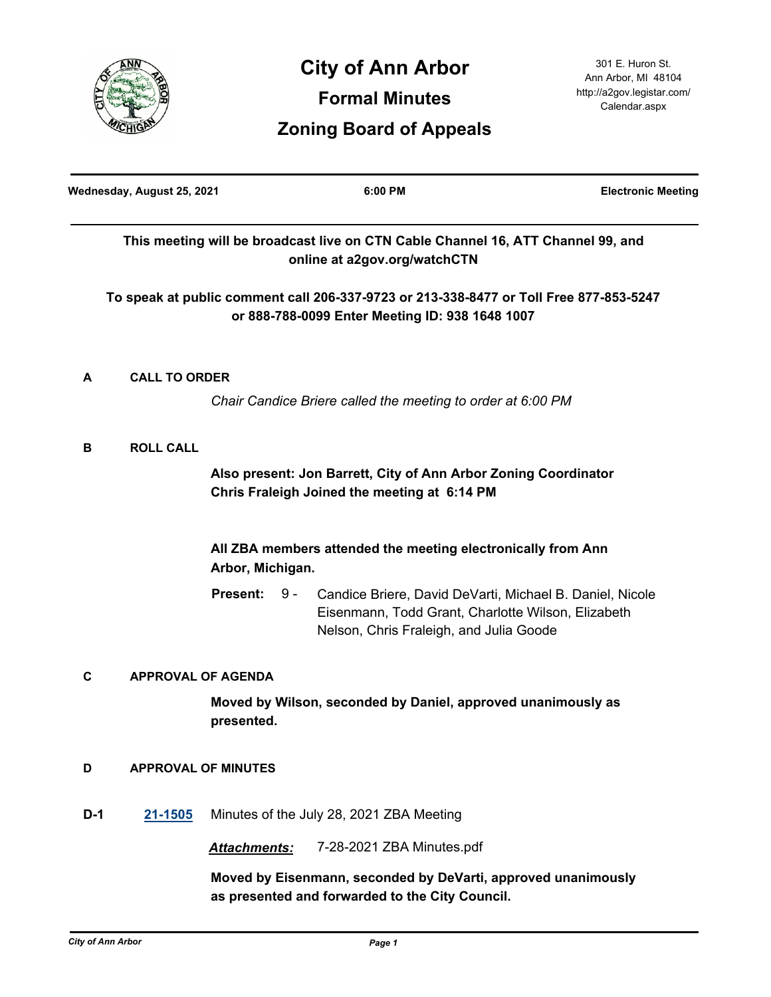

| Wednesday, August 25, 2021 |                                                             |                                                                                                                 | 6:00 PM                                                                                                                                                   | <b>Electronic Meeting</b> |
|----------------------------|-------------------------------------------------------------|-----------------------------------------------------------------------------------------------------------------|-----------------------------------------------------------------------------------------------------------------------------------------------------------|---------------------------|
|                            |                                                             |                                                                                                                 | This meeting will be broadcast live on CTN Cable Channel 16, ATT Channel 99, and<br>online at a2gov.org/watchCTN                                          |                           |
|                            |                                                             |                                                                                                                 | To speak at public comment call 206-337-9723 or 213-338-8477 or Toll Free 877-853-5247<br>or 888-788-0099 Enter Meeting ID: 938 1648 1007                 |                           |
| A                          | <b>CALL TO ORDER</b>                                        |                                                                                                                 |                                                                                                                                                           |                           |
|                            | Chair Candice Briere called the meeting to order at 6:00 PM |                                                                                                                 |                                                                                                                                                           |                           |
| В                          | <b>ROLL CALL</b>                                            |                                                                                                                 |                                                                                                                                                           |                           |
|                            |                                                             | Also present: Jon Barrett, City of Ann Arbor Zoning Coordinator<br>Chris Fraleigh Joined the meeting at 6:14 PM |                                                                                                                                                           |                           |
|                            |                                                             | All ZBA members attended the meeting electronically from Ann<br>Arbor, Michigan.                                |                                                                                                                                                           |                           |
|                            |                                                             | <b>Present:</b><br>9 -                                                                                          | Candice Briere, David DeVarti, Michael B. Daniel, Nicole<br>Eisenmann, Todd Grant, Charlotte Wilson, Elizabeth<br>Nelson, Chris Fraleigh, and Julia Goode |                           |
| C                          | <b>APPROVAL OF AGENDA</b>                                   |                                                                                                                 |                                                                                                                                                           |                           |
|                            |                                                             | Moved by Wilson, seconded by Daniel, approved unanimously as<br>presented.                                      |                                                                                                                                                           |                           |
| D                          | <b>APPROVAL OF MINUTES</b>                                  |                                                                                                                 |                                                                                                                                                           |                           |
| $D-1$                      | 21-1505                                                     | Minutes of the July 28, 2021 ZBA Meeting                                                                        |                                                                                                                                                           |                           |
|                            |                                                             | Attachments:                                                                                                    | 7-28-2021 ZBA Minutes.pdf                                                                                                                                 |                           |
|                            |                                                             |                                                                                                                 | Moved by Eisenmann, seconded by DeVarti, approved unanimously<br>as presented and forwarded to the City Council.                                          |                           |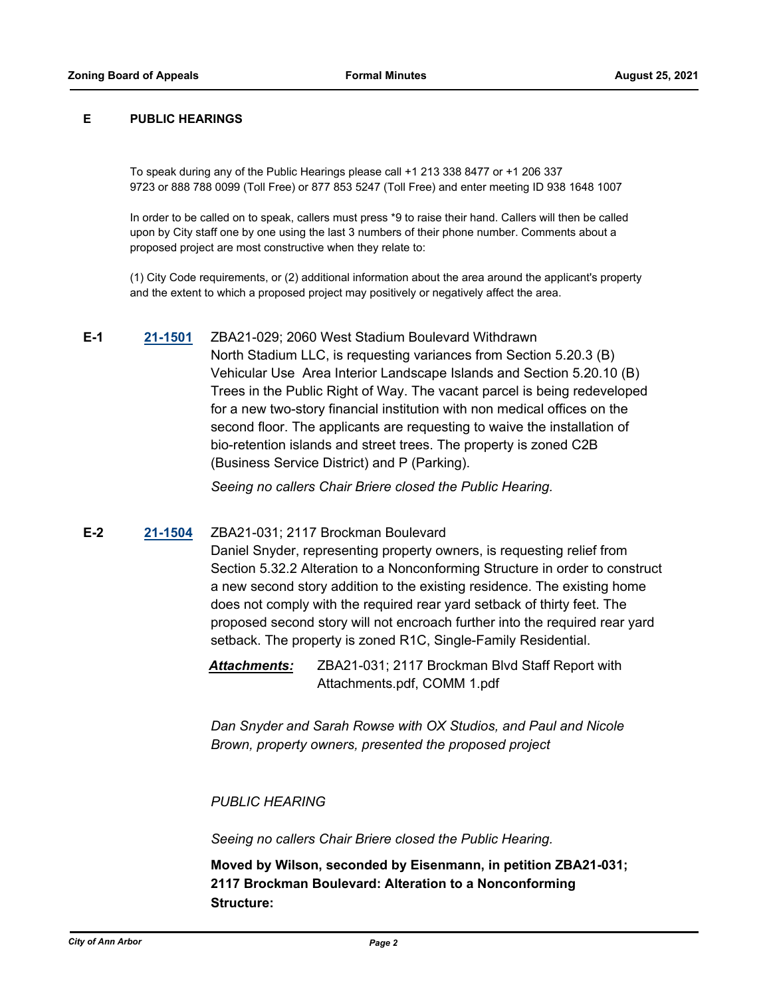#### **E PUBLIC HEARINGS**

To speak during any of the Public Hearings please call +1 213 338 8477 or +1 206 337 9723 or 888 788 0099 (Toll Free) or 877 853 5247 (Toll Free) and enter meeting ID 938 1648 1007

In order to be called on to speak, callers must press \*9 to raise their hand. Callers will then be called upon by City staff one by one using the last 3 numbers of their phone number. Comments about a proposed project are most constructive when they relate to:

(1) City Code requirements, or (2) additional information about the area around the applicant's property and the extent to which a proposed project may positively or negatively affect the area.

**E-1 [21-1501](http://a2gov.legistar.com/gateway.aspx?M=L&ID=28427)** ZBA21-029; 2060 West Stadium Boulevard Withdrawn North Stadium LLC, is requesting variances from Section 5.20.3 (B) Vehicular Use Area Interior Landscape Islands and Section 5.20.10 (B) Trees in the Public Right of Way. The vacant parcel is being redeveloped for a new two-story financial institution with non medical offices on the second floor. The applicants are requesting to waive the installation of bio-retention islands and street trees. The property is zoned C2B (Business Service District) and P (Parking).

*Seeing no callers Chair Briere closed the Public Hearing.*

## **E-2 [21-1504](http://a2gov.legistar.com/gateway.aspx?M=L&ID=28430)** ZBA21-031; 2117 Brockman Boulevard

Daniel Snyder, representing property owners, is requesting relief from Section 5.32.2 Alteration to a Nonconforming Structure in order to construct a new second story addition to the existing residence. The existing home does not comply with the required rear yard setback of thirty feet. The proposed second story will not encroach further into the required rear yard setback. The property is zoned R1C, Single-Family Residential.

*Attachments:* ZBA21-031; 2117 Brockman Blvd Staff Report with Attachments.pdf, COMM 1.pdf

*Dan Snyder and Sarah Rowse with OX Studios, and Paul and Nicole Brown, property owners, presented the proposed project* 

### *PUBLIC HEARING*

*Seeing no callers Chair Briere closed the Public Hearing.*

**Moved by Wilson, seconded by Eisenmann, in petition ZBA21-031; 2117 Brockman Boulevard: Alteration to a Nonconforming Structure:**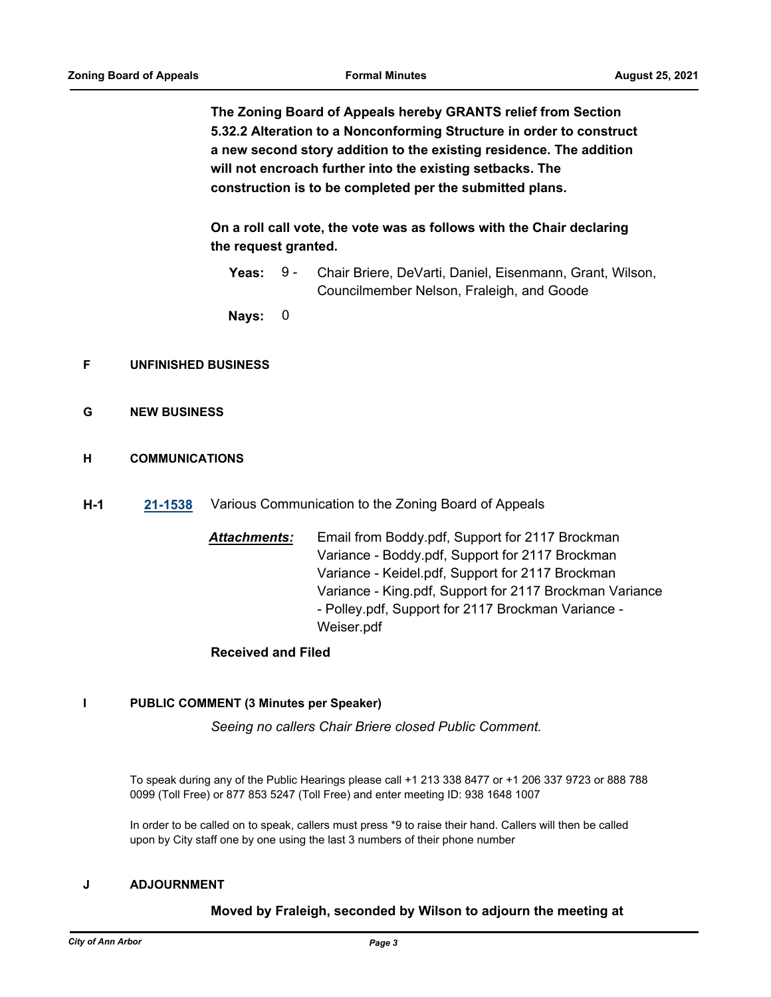**The Zoning Board of Appeals hereby GRANTS relief from Section 5.32.2 Alteration to a Nonconforming Structure in order to construct a new second story addition to the existing residence. The addition will not encroach further into the existing setbacks. The construction is to be completed per the submitted plans.**

**On a roll call vote, the vote was as follows with the Chair declaring the request granted.**

Yeas: 9 - Chair Briere, DeVarti, Daniel, Eisenmann, Grant, Wilson, Councilmember Nelson, Fraleigh, and Goode 9 -

**Nays:** 0

## **F UNFINISHED BUSINESS**

- **G NEW BUSINESS**
- **H COMMUNICATIONS**
- **H-1 [21-1538](http://a2gov.legistar.com/gateway.aspx?M=L&ID=28464)** Various Communication to the Zoning Board of Appeals
	- *Attachments:* Email from Boddy.pdf, Support for 2117 Brockman Variance - Boddy.pdf, Support for 2117 Brockman Variance - Keidel.pdf, Support for 2117 Brockman Variance - King.pdf, Support for 2117 Brockman Variance - Polley.pdf, Support for 2117 Brockman Variance - Weiser.pdf

# **Received and Filed**

### **I PUBLIC COMMENT (3 Minutes per Speaker)**

*Seeing no callers Chair Briere closed Public Comment.*

To speak during any of the Public Hearings please call +1 213 338 8477 or +1 206 337 9723 or 888 788 0099 (Toll Free) or 877 853 5247 (Toll Free) and enter meeting ID: 938 1648 1007

In order to be called on to speak, callers must press \*9 to raise their hand. Callers will then be called upon by City staff one by one using the last 3 numbers of their phone number

### **J ADJOURNMENT**

## **Moved by Fraleigh, seconded by Wilson to adjourn the meeting at**